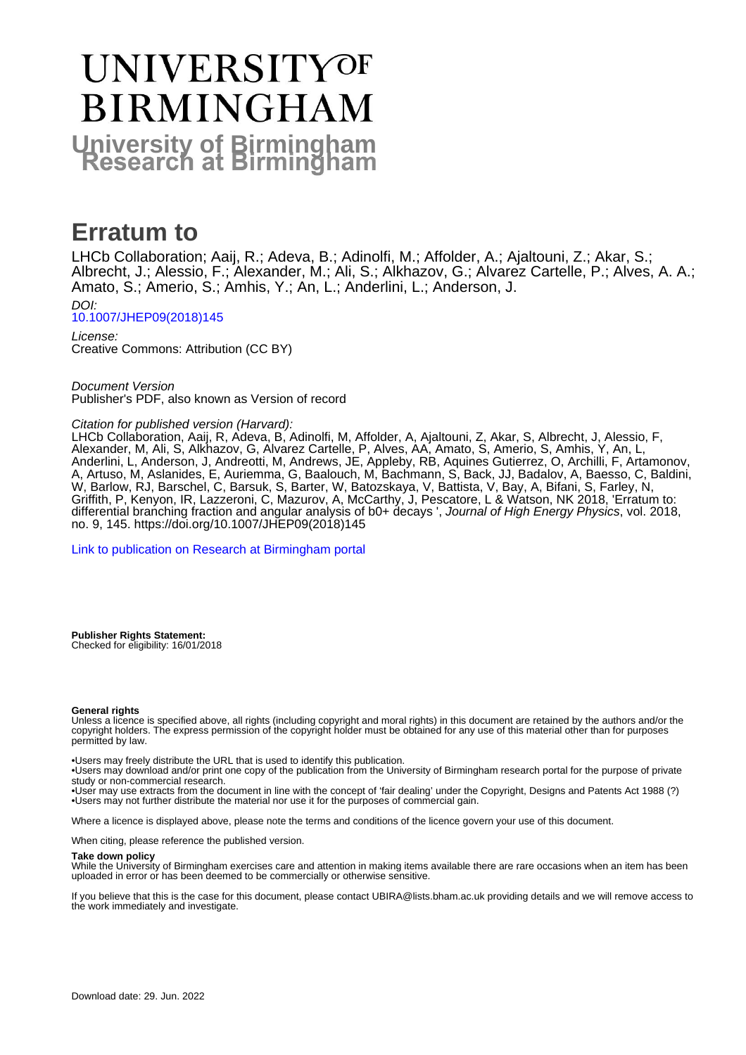# **UNIVERSITYOF BIRMINGHAM University of Birmingham**

# **Erratum to**

LHCb Collaboration; Aaij, R.; Adeva, B.; Adinolfi, M.; Affolder, A.; Ajaltouni, Z.; Akar, S.; Albrecht, J.; Alessio, F.; Alexander, M.; Ali, S.; Alkhazov, G.; Alvarez Cartelle, P.; Alves, A. A.; Amato, S.; Amerio, S.; Amhis, Y.; An, L.; Anderlini, L.; Anderson, J.

DOI: [10.1007/JHEP09\(2018\)145](https://doi.org/10.1007/JHEP09(2018)145)

License: Creative Commons: Attribution (CC BY)

Document Version Publisher's PDF, also known as Version of record

### Citation for published version (Harvard):

LHCb Collaboration, Aaij, R, Adeva, B, Adinolfi, M, Affolder, A, Ajaltouni, Z, Akar, S, Albrecht, J, Alessio, F, Alexander, M, Ali, S, Alkhazov, G, Alvarez Cartelle, P, Alves, AA, Amato, S, Amerio, S, Amhis, Y, An, L, Anderlini, L, Anderson, J, Andreotti, M, Andrews, JE, Appleby, RB, Aquines Gutierrez, O, Archilli, F, Artamonov, A, Artuso, M, Aslanides, E, Auriemma, G, Baalouch, M, Bachmann, S, Back, JJ, Badalov, A, Baesso, C, Baldini, W, Barlow, RJ, Barschel, C, Barsuk, S, Barter, W, Batozskaya, V, Battista, V, Bay, A, Bifani, S, Farley, N, Griffith, P, Kenyon, IR, Lazzeroni, C, Mazurov, A, McCarthy, J, Pescatore, L & Watson, NK 2018, 'Erratum to: differential branching fraction and angular analysis of b0+ decays ', Journal of High Energy Physics, vol. 2018, no. 9, 145. [https://doi.org/10.1007/JHEP09\(2018\)145](https://doi.org/10.1007/JHEP09(2018)145)

[Link to publication on Research at Birmingham portal](https://birmingham.elsevierpure.com/en/publications/be8a7a8d-0b79-428b-85a9-e078eab2525a)

**Publisher Rights Statement:** Checked for eligibility: 16/01/2018

#### **General rights**

Unless a licence is specified above, all rights (including copyright and moral rights) in this document are retained by the authors and/or the copyright holders. The express permission of the copyright holder must be obtained for any use of this material other than for purposes permitted by law.

• Users may freely distribute the URL that is used to identify this publication.

• Users may download and/or print one copy of the publication from the University of Birmingham research portal for the purpose of private study or non-commercial research.

• User may use extracts from the document in line with the concept of 'fair dealing' under the Copyright, Designs and Patents Act 1988 (?) • Users may not further distribute the material nor use it for the purposes of commercial gain.

Where a licence is displayed above, please note the terms and conditions of the licence govern your use of this document.

When citing, please reference the published version.

#### **Take down policy**

While the University of Birmingham exercises care and attention in making items available there are rare occasions when an item has been uploaded in error or has been deemed to be commercially or otherwise sensitive.

If you believe that this is the case for this document, please contact UBIRA@lists.bham.ac.uk providing details and we will remove access to the work immediately and investigate.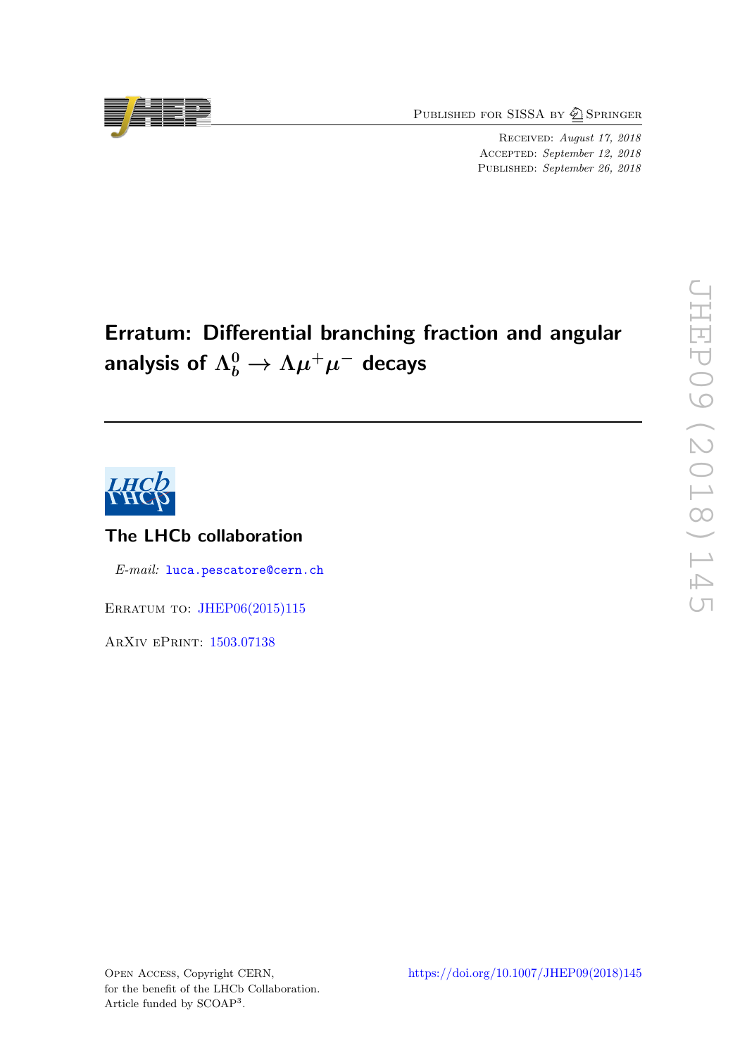PUBLISHED FOR SISSA BY 2 SPRINGER

Received: August 17, 2018 ACCEPTED: September 12, 2018 PUBLISHED: September 26, 2018

# Erratum: Differential branching fraction and angular analysis of  $\Lambda_b^0 \rightarrow \Lambda \mu^+ \mu^-$  decays



# The LHCb collaboration

E-mail: [luca.pescatore@cern.ch](mailto:luca.pescatore@cern.ch)

ERRATUM TO: [JHEP06\(2015\)115](https://doi.org/10.1007/JHEP06(2015)115)

ArXiv ePrint: [1503.07138](https://arxiv.org/abs/1503.07138)

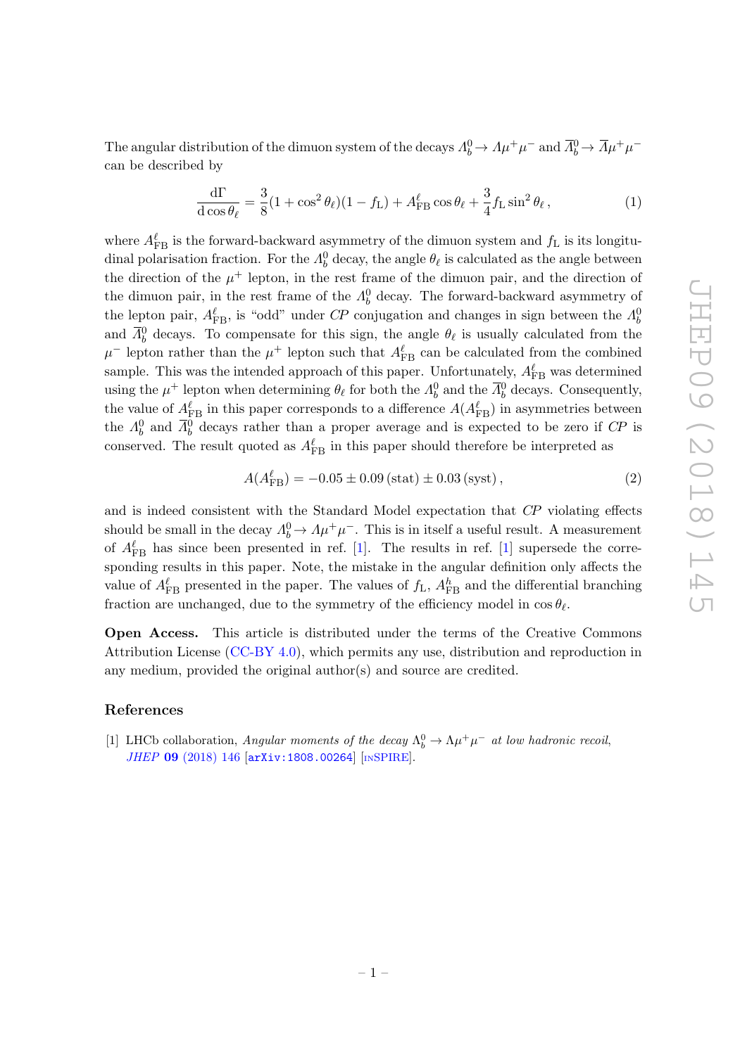JHEP09 (2018) 145 JHEP09(2018)145

The angular distribution of the dimuon system of the decays  $\Lambda_b^0 \to \Lambda \mu^+ \mu^-$  and  $\overline{\Lambda}_b^0 \to \overline{\Lambda} \mu^+ \mu^$ can be described by

$$
\frac{\mathrm{d}\Gamma}{\mathrm{d}\cos\theta_{\ell}} = \frac{3}{8}(1+\cos^2\theta_{\ell})(1-f_{\mathrm{L}}) + A_{\mathrm{FB}}^{\ell}\cos\theta_{\ell} + \frac{3}{4}f_{\mathrm{L}}\sin^2\theta_{\ell},\tag{1}
$$

where  $A_{\text{FB}}^{\ell}$  is the forward-backward asymmetry of the dimuon system and  $f_{\text{L}}$  is its longitudinal polarisation fraction. For the  $\Lambda_b^0$  decay, the angle  $\theta_\ell$  is calculated as the angle between the direction of the  $\mu^+$  lepton, in the rest frame of the dimuon pair, and the direction of the dimuon pair, in the rest frame of the  $\Lambda_b^0$  decay. The forward-backward asymmetry of the lepton pair,  $A_{\text{FB}}^{\ell}$ , is "odd" under CP conjugation and changes in sign between the  $A_b^0$ and  $\bar{\Lambda}^0_b$  decays. To compensate for this sign, the angle  $\theta_\ell$  is usually calculated from the  $\mu^-$  lepton rather than the  $\mu^+$  lepton such that  $A_{\text{FB}}^{\ell}$  can be calculated from the combined sample. This was the intended approach of this paper. Unfortunately,  $A_{\rm FB}^{\ell}$  was determined using the  $\mu^+$  lepton when determining  $\theta_\ell$  for both the  $\Lambda_b^0$  and the  $\overline{\Lambda}_b^0$  decays. Consequently, the value of  $A_{\text{FB}}^{\ell}$  in this paper corresponds to a difference  $A(A_{\text{FB}}^{\ell})$  in asymmetries between the  $\Lambda_b^0$  and  $\bar{\Lambda}_b^0$  decays rather than a proper average and is expected to be zero if  $C\!P$  is conserved. The result quoted as  $A_{\text{FB}}^{\ell}$  in this paper should therefore be interpreted as

$$
A(A_{\text{FB}}^{\ell}) = -0.05 \pm 0.09 \, (\text{stat}) \pm 0.03 \, (\text{syst}), \tag{2}
$$

and is indeed consistent with the Standard Model expectation that CP violating effects should be small in the decay  $\Lambda_b^0 \to \Lambda \mu^+ \mu^-$ . This is in itself a useful result. A measurement of  $A_{\text{FB}}^{\ell}$  has since been presented in ref. [\[1\]](#page-2-0). The results in ref. [1] supersede the corresponding results in this paper. Note, the mistake in the angular definition only affects the value of  $A_{\text{FB}}^{\ell}$  presented in the paper. The values of  $f_{\text{L}}$ ,  $A_{\text{FB}}^{h}$  and the differential branching fraction are unchanged, due to the symmetry of the efficiency model in  $\cos \theta_{\ell}$ .

Open Access. This article is distributed under the terms of the Creative Commons Attribution License [\(CC-BY 4.0\)](https://creativecommons.org/licenses/by/4.0/), which permits any use, distribution and reproduction in any medium, provided the original author(s) and source are credited.

### References

<span id="page-2-0"></span>[1] LHCb collaboration, Angular moments of the decay  $\Lambda_b^0 \to \Lambda \mu^+ \mu^-$  at low hadronic recoil, JHEP 09 [\(2018\) 146](https://doi.org/10.1007/JHEP09(2018)146) [[arXiv:1808.00264](https://arxiv.org/abs/1808.00264)] [IN[SPIRE](https://inspirehep.net/search?p=find+EPRINT+arXiv:1808.00264)].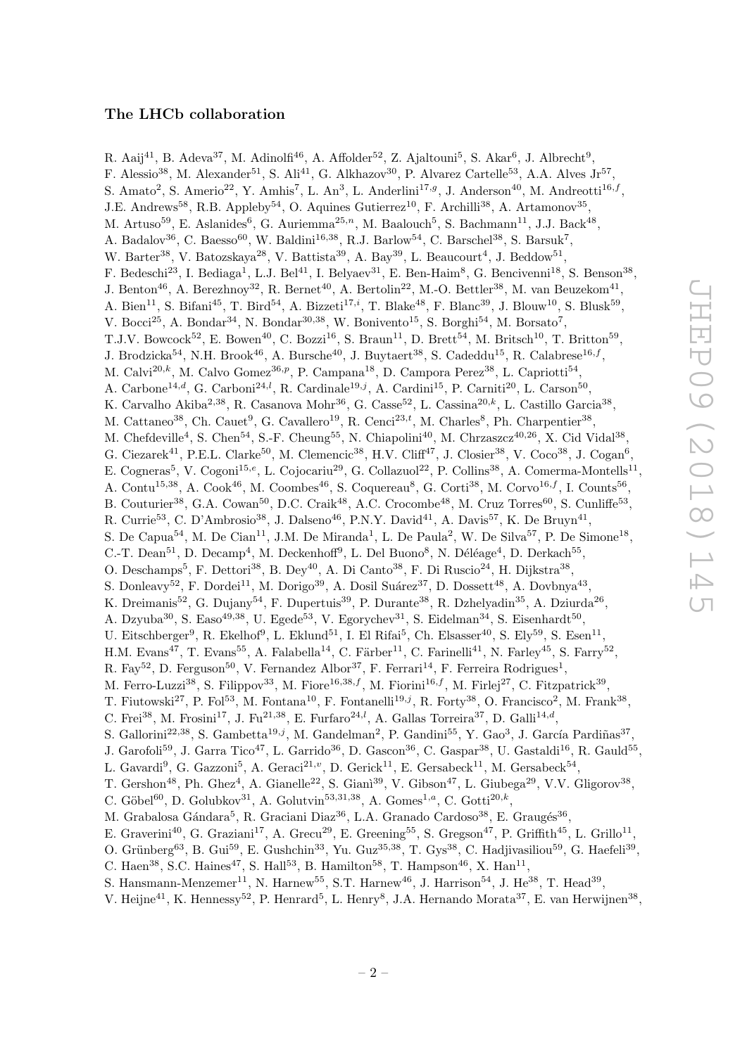## The LHCb collaboration

R. Aaij $^{41}$ , B. Adeva $^{37}$ , M. Adinolfi $^{46}$ , A. Affolder $^{52}$ , Z. Ajaltouni $^5$ , S. Akar $^6$ , J. Albrecht $^9$ , F. Alessio<sup>38</sup>, M. Alexander<sup>51</sup>, S. Ali<sup>41</sup>, G. Alkhazov<sup>30</sup>, P. Alvarez Cartelle<sup>53</sup>, A.A. Alves Jr<sup>57</sup>, S. Amato<sup>2</sup>, S. Amerio<sup>22</sup>, Y. Amhis<sup>7</sup>, L. An<sup>3</sup>, L. Anderlini<sup>17,g</sup>, J. Anderson<sup>40</sup>, M. Andreotti<sup>16,f</sup>, J.E. Andrews<sup>58</sup>, R.B. Appleby<sup>54</sup>, O. Aquines Gutierrez<sup>10</sup>, F. Archilli<sup>38</sup>, A. Artamonov<sup>35</sup>, M. Artuso<sup>59</sup>, E. Aslanides<sup>6</sup>, G. Auriemma<sup>25,n</sup>, M. Baalouch<sup>5</sup>, S. Bachmann<sup>11</sup>, J.J. Back<sup>48</sup>, A. Badalov<sup>36</sup>, C. Baesso<sup>60</sup>, W. Baldini<sup>16,38</sup>, R.J. Barlow<sup>54</sup>, C. Barschel<sup>38</sup>, S. Barsuk<sup>7</sup>, W. Barter<sup>38</sup>, V. Batozskaya<sup>28</sup>, V. Battista<sup>39</sup>, A. Bay<sup>39</sup>, L. Beaucourt<sup>4</sup>, J. Beddow<sup>51</sup>, F. Bedeschi<sup>23</sup>, I. Bediaga<sup>1</sup>, L.J. Bel<sup>41</sup>, I. Belyaev<sup>31</sup>, E. Ben-Haim<sup>8</sup>, G. Bencivenni<sup>18</sup>, S. Benson<sup>38</sup>, J. Benton<sup>46</sup>, A. Berezhnoy<sup>32</sup>, R. Bernet<sup>40</sup>, A. Bertolin<sup>22</sup>, M.-O. Bettler<sup>38</sup>, M. van Beuzekom<sup>41</sup>, A. Bien<sup>11</sup>, S. Bifani<sup>45</sup>, T. Bird<sup>54</sup>, A. Bizzeti<sup>17,*i*</sup>, T. Blake<sup>48</sup>, F. Blanc<sup>39</sup>, J. Blouw<sup>10</sup>, S. Blusk<sup>59</sup>, V. Bocci<sup>25</sup>, A. Bondar<sup>34</sup>, N. Bondar<sup>30,38</sup>, W. Bonivento<sup>15</sup>, S. Borghi<sup>54</sup>, M. Borsato<sup>7</sup>, T.J.V. Bowcock<sup>52</sup>, E. Bowen<sup>40</sup>, C. Bozzi<sup>16</sup>, S. Braun<sup>11</sup>, D. Brett<sup>54</sup>, M. Britsch<sup>10</sup>, T. Britton<sup>59</sup>, J. Brodzicka<sup>54</sup>, N.H. Brook<sup>46</sup>, A. Bursche<sup>40</sup>, J. Buytaert<sup>38</sup>, S. Cadeddu<sup>15</sup>, R. Calabrese<sup>16,f</sup>, M. Calvi<sup>20,k</sup>, M. Calvo Gomez<sup>36,p</sup>, P. Campana<sup>18</sup>, D. Campora Perez<sup>38</sup>, L. Capriotti<sup>54</sup>, A. Carbone<sup>14,d</sup>, G. Carboni<sup>24,l</sup>, R. Cardinale<sup>19,j</sup>, A. Cardini<sup>15</sup>, P. Carniti<sup>20</sup>, L. Carson<sup>50</sup>, K. Carvalho Akiba<sup>2,38</sup>, R. Casanova Mohr<sup>36</sup>, G. Casse<sup>52</sup>, L. Cassina<sup>20,k</sup>, L. Castillo Garcia<sup>38</sup>, M. Cattaneo<sup>38</sup>, Ch. Cauet<sup>9</sup>, G. Cavallero<sup>19</sup>, R. Cenci<sup>23,t</sup>, M. Charles<sup>8</sup>, Ph. Charpentier<sup>38</sup>, M. Chefdeville<sup>4</sup>, S. Chen<sup>54</sup>, S.-F. Cheung<sup>55</sup>, N. Chiapolini<sup>40</sup>, M. Chrzaszcz<sup>40,26</sup>, X. Cid Vidal<sup>38</sup>, G. Ciezarek<sup>41</sup>, P.E.L. Clarke<sup>50</sup>, M. Clemencic<sup>38</sup>, H.V. Cliff<sup>47</sup>, J. Closier<sup>38</sup>, V. Coco<sup>38</sup>, J. Cogan<sup>6</sup>, E. Cogneras<sup>5</sup>, V. Cogoni<sup>15,e</sup>, L. Cojocariu<sup>29</sup>, G. Collazuol<sup>22</sup>, P. Collins<sup>38</sup>, A. Comerma-Montells<sup>11</sup>, A. Contu<sup>15,38</sup>, A. Cook<sup>46</sup>, M. Coombes<sup>46</sup>, S. Coquereau<sup>8</sup>, G. Corti<sup>38</sup>, M. Corvo<sup>16,f</sup>, I. Counts<sup>56</sup>, B. Couturier<sup>38</sup>, G.A. Cowan<sup>50</sup>, D.C. Craik<sup>48</sup>, A.C. Crocombe<sup>48</sup>, M. Cruz Torres<sup>60</sup>, S. Cunliffe<sup>53</sup>, R. Currie<sup>53</sup>, C. D'Ambrosio<sup>38</sup>, J. Dalseno<sup>46</sup>, P.N.Y. David<sup>41</sup>, A. Davis<sup>57</sup>, K. De Bruyn<sup>41</sup>, S. De Capua<sup>54</sup>, M. De Cian<sup>11</sup>, J.M. De Miranda<sup>1</sup>, L. De Paula<sup>2</sup>, W. De Silva<sup>57</sup>, P. De Simone<sup>18</sup>, C.-T. Dean<sup>51</sup>, D. Decamp<sup>4</sup>, M. Deckenhoff<sup>9</sup>, L. Del Buono<sup>8</sup>, N. Déléage<sup>4</sup>, D. Derkach<sup>55</sup>, O. Deschamps<sup>5</sup>, F. Dettori<sup>38</sup>, B. Dey<sup>40</sup>, A. Di Canto<sup>38</sup>, F. Di Ruscio<sup>24</sup>, H. Dijkstra<sup>38</sup>, S. Donleavy<sup>52</sup>, F. Dordei<sup>11</sup>, M. Dorigo<sup>39</sup>, A. Dosil Suárez<sup>37</sup>, D. Dossett<sup>48</sup>, A. Dovbnya<sup>43</sup>, K. Dreimanis<sup>52</sup>, G. Dujany<sup>54</sup>, F. Dupertuis<sup>39</sup>, P. Durante<sup>38</sup>, R. Dzhelyadin<sup>35</sup>, A. Dziurda<sup>26</sup>, A. Dzyuba<sup>30</sup>, S. Easo<sup>49,38</sup>, U. Egede<sup>53</sup>, V. Egorychev<sup>31</sup>, S. Eidelman<sup>34</sup>, S. Eisenhardt<sup>50</sup>, U. Eitschberger<sup>9</sup>, R. Ekelhof<sup>9</sup>, L. Eklund<sup>51</sup>, I. El Rifai<sup>5</sup>, Ch. Elsasser<sup>40</sup>, S. Ely<sup>59</sup>, S. Esen<sup>11</sup>, H.M. Evans<sup>47</sup>, T. Evans<sup>55</sup>, A. Falabella<sup>14</sup>, C. Färber<sup>11</sup>, C. Farinelli<sup>41</sup>, N. Farley<sup>45</sup>, S. Farry<sup>52</sup>, R. Fay<sup>52</sup>, D. Ferguson<sup>50</sup>, V. Fernandez Albor<sup>37</sup>, F. Ferrari<sup>14</sup>, F. Ferreira Rodrigues<sup>1</sup>, M. Ferro-Luzzi<sup>38</sup>, S. Filippov<sup>33</sup>, M. Fiore<sup>16,38,f</sup>, M. Fiorini<sup>16,f</sup>, M. Firlej<sup>27</sup>, C. Fitzpatrick<sup>39</sup>, T. Fiutowski<sup>27</sup>, P. Fol<sup>53</sup>, M. Fontana<sup>10</sup>, F. Fontanelli<sup>19,j</sup>, R. Forty<sup>38</sup>, O. Francisco<sup>2</sup>, M. Frank<sup>38</sup>, C. Frei<sup>38</sup>, M. Frosini<sup>17</sup>, J. Fu<sup>21,38</sup>, E. Furfaro<sup>24,*l*</sup>, A. Gallas Torreira<sup>37</sup>, D. Galli<sup>14,*d*</sup>, S. Gallorini<sup>22,38</sup>, S. Gambetta<sup>19,j</sup>, M. Gandelman<sup>2</sup>, P. Gandini<sup>55</sup>, Y. Gao<sup>3</sup>, J. García Pardiñas<sup>37</sup>, J. Garofoli<sup>59</sup>, J. Garra Tico<sup>47</sup>, L. Garrido<sup>36</sup>, D. Gascon<sup>36</sup>, C. Gaspar<sup>38</sup>, U. Gastaldi<sup>16</sup>, R. Gauld<sup>55</sup>, L. Gavardi<sup>9</sup>, G. Gazzoni<sup>5</sup>, A. Geraci<sup>21,</sup><sup>v</sup>, D. Gerick<sup>11</sup>, E. Gersabeck<sup>11</sup>, M. Gersabeck<sup>54</sup>, T. Gershon<sup>48</sup>, Ph. Ghez<sup>4</sup>, A. Gianelle<sup>22</sup>, S. Giani<sup>39</sup>, V. Gibson<sup>47</sup>, L. Giubega<sup>29</sup>, V.V. Gligorov<sup>38</sup>, C. Göbel<sup>60</sup>, D. Golubkov<sup>31</sup>, A. Golutvin<sup>53,31,38</sup>, A. Gomes<sup>1,a</sup>, C. Gotti<sup>20,k</sup>, M. Grabalosa Gándara<sup>5</sup>, R. Graciani Diaz<sup>36</sup>, L.A. Granado Cardoso<sup>38</sup>, E. Graugés<sup>36</sup>, E. Graverini<sup>40</sup>, G. Graziani<sup>17</sup>, A. Grecu<sup>29</sup>, E. Greening<sup>55</sup>, S. Gregson<sup>47</sup>, P. Griffith<sup>45</sup>, L. Grillo<sup>11</sup>, O. Grünberg<sup>63</sup>, B. Gui<sup>59</sup>, E. Gushchin<sup>33</sup>, Yu. Guz<sup>35,38</sup>, T. Gys<sup>38</sup>, C. Hadjivasiliou<sup>59</sup>, G. Haefeli<sup>39</sup>, C. Haen<sup>38</sup>, S.C. Haines<sup>47</sup>, S. Hall<sup>53</sup>, B. Hamilton<sup>58</sup>, T. Hampson<sup>46</sup>, X. Han<sup>11</sup>, S. Hansmann-Menzemer<sup>11</sup>, N. Harnew<sup>55</sup>, S.T. Harnew<sup>46</sup>, J. Harrison<sup>54</sup>, J. He<sup>38</sup>, T. Head<sup>39</sup>,

V. Heijne<sup>41</sup>, K. Hennessy<sup>52</sup>, P. Henrard<sup>5</sup>, L. Henry<sup>8</sup>, J.A. Hernando Morata<sup>37</sup>, E. van Herwijnen<sup>38</sup>,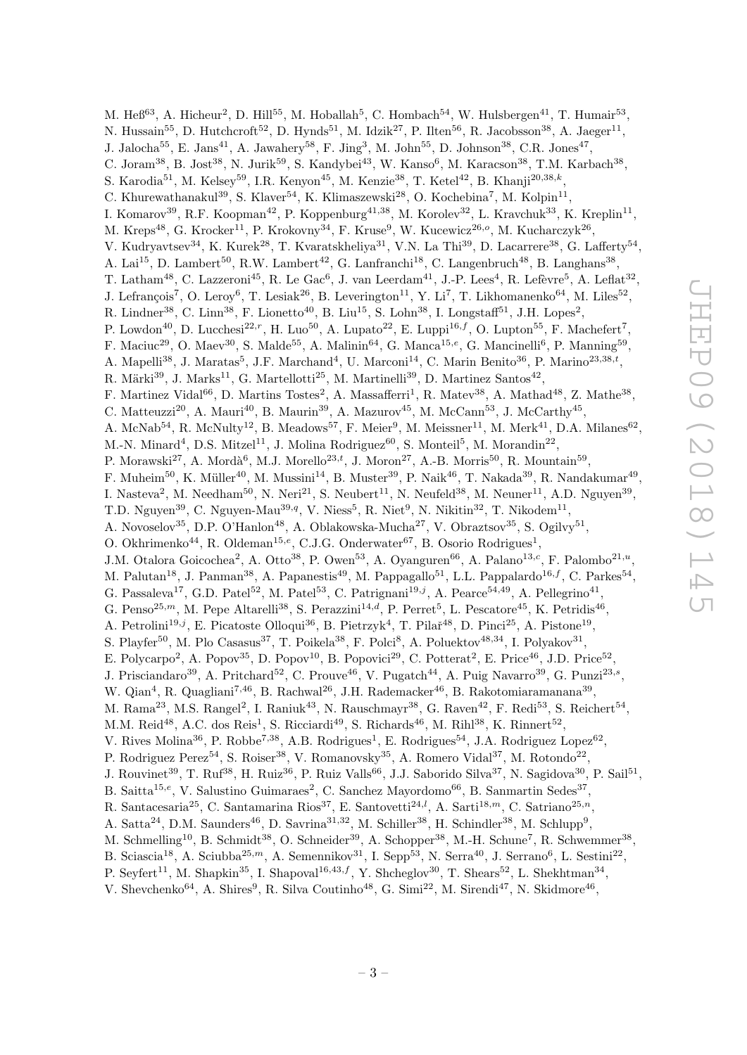M. He $6^{63}$ , A. Hicheur<sup>2</sup>, D. Hill<sup>55</sup>, M. Hoballah<sup>5</sup>, C. Hombach<sup>54</sup>, W. Hulsbergen<sup>41</sup>, T. Humair<sup>53</sup>, N. Hussain<sup>55</sup>, D. Hutchcroft<sup>52</sup>, D. Hynds<sup>51</sup>, M. Idzik<sup>27</sup>, P. Ilten<sup>56</sup>, R. Jacobsson<sup>38</sup>, A. Jaeger<sup>11</sup>, J. Jalocha<sup>55</sup>, E. Jans<sup>41</sup>, A. Jawahery<sup>58</sup>, F. Jing<sup>3</sup>, M. John<sup>55</sup>, D. Johnson<sup>38</sup>, C.R. Jones<sup>47</sup>, C. Joram<sup>38</sup>, B. Jost<sup>38</sup>, N. Jurik<sup>59</sup>, S. Kandybei<sup>43</sup>, W. Kanso<sup>6</sup>, M. Karacson<sup>38</sup>, T.M. Karbach<sup>38</sup>, S. Karodia<sup>51</sup>, M. Kelsey<sup>59</sup>, I.R. Kenyon<sup>45</sup>, M. Kenzie<sup>38</sup>, T. Ketel<sup>42</sup>, B. Khanji<sup>20,38,k</sup>, C. Khurewathanakul<sup>39</sup>, S. Klaver<sup>54</sup>, K. Klimaszewski<sup>28</sup>, O. Kochebina<sup>7</sup>, M. Kolpin<sup>11</sup>, I. Komarov<sup>39</sup>, R.F. Koopman<sup>42</sup>, P. Koppenburg<sup>41,38</sup>, M. Korolev<sup>32</sup>, L. Kravchuk<sup>33</sup>, K. Kreplin<sup>11</sup>, M. Kreps<sup>48</sup>, G. Krocker<sup>11</sup>, P. Krokovny<sup>34</sup>, F. Kruse<sup>9</sup>, W. Kucewicz<sup>26,</sup><sup>o</sup>, M. Kucharczyk<sup>26</sup>, V. Kudryavtsev<sup>34</sup>, K. Kurek<sup>28</sup>, T. Kvaratskheliya<sup>31</sup>, V.N. La Thi<sup>39</sup>, D. Lacarrere<sup>38</sup>, G. Lafferty<sup>54</sup>, A. Lai<sup>15</sup>, D. Lambert<sup>50</sup>, R.W. Lambert<sup>42</sup>, G. Lanfranchi<sup>18</sup>, C. Langenbruch<sup>48</sup>, B. Langhans<sup>38</sup>, T. Latham<sup>48</sup>, C. Lazzeroni<sup>45</sup>, R. Le Gac<sup>6</sup>, J. van Leerdam<sup>41</sup>, J.-P. Lees<sup>4</sup>, R. Lefèvre<sup>5</sup>, A. Leflat<sup>32</sup>, J. Lefrançois<sup>7</sup>, O. Leroy<sup>6</sup>, T. Lesiak<sup>26</sup>, B. Leverington<sup>11</sup>, Y. Li<sup>7</sup>, T. Likhomanenko<sup>64</sup>, M. Liles<sup>52</sup>, R. Lindner<sup>38</sup>, C. Linn<sup>38</sup>, F. Lionetto<sup>40</sup>, B. Liu<sup>15</sup>, S. Lohn<sup>38</sup>, I. Longstaff<sup>51</sup>, J.H. Lopes<sup>2</sup>, P. Lowdon<sup>40</sup>, D. Lucchesi<sup>22, r</sup>, H. Luo<sup>50</sup>, A. Lupato<sup>22</sup>, E. Luppi<sup>16, f</sup>, O. Lupton<sup>55</sup>, F. Machefert<sup>7</sup>, F. Maciuc<sup>29</sup>, O. Maev<sup>30</sup>, S. Malde<sup>55</sup>, A. Malinin<sup>64</sup>, G. Manca<sup>15,e</sup>, G. Mancinelli<sup>6</sup>, P. Manning<sup>59</sup>, A. Mapelli<sup>38</sup>, J. Maratas<sup>5</sup>, J.F. Marchand<sup>4</sup>, U. Marconi<sup>14</sup>, C. Marin Benito<sup>36</sup>, P. Marino<sup>23,38,t</sup>, R. Märki $^{39}$ , J. Marks $^{11}$ , G. Martellotti $^{25}$ , M. Martinelli $^{39}$ , D. Martinez Santos $^{42}$ , F. Martinez Vidal<sup>66</sup>, D. Martins Tostes<sup>2</sup>, A. Massafferri<sup>1</sup>, R. Matev<sup>38</sup>, A. Mathad<sup>48</sup>, Z. Mathe<sup>38</sup>, C. Matteuzzi<sup>20</sup>, A. Mauri<sup>40</sup>, B. Maurin<sup>39</sup>, A. Mazurov<sup>45</sup>, M. McCann<sup>53</sup>, J. McCarthy<sup>45</sup>, A. McNab<sup>54</sup>, R. McNulty<sup>12</sup>, B. Meadows<sup>57</sup>, F. Meier<sup>9</sup>, M. Meissner<sup>11</sup>, M. Merk<sup>41</sup>, D.A. Milanes<sup>62</sup>, M.-N. Minard<sup>4</sup>, D.S. Mitzel<sup>11</sup>, J. Molina Rodriguez<sup>60</sup>, S. Monteil<sup>5</sup>, M. Morandin<sup>22</sup>, P. Morawski<sup>27</sup>, A. Mordà<sup>6</sup>, M.J. Morello<sup>23,†</sup>, J. Moron<sup>27</sup>, A.-B. Morris<sup>50</sup>, R. Mountain<sup>59</sup>, F. Muheim<sup>50</sup>, K. Müller<sup>40</sup>, M. Mussini<sup>14</sup>, B. Muster<sup>39</sup>, P. Naik<sup>46</sup>, T. Nakada<sup>39</sup>, R. Nandakumar<sup>49</sup>, I. Nasteva<sup>2</sup>, M. Needham<sup>50</sup>, N. Neri<sup>21</sup>, S. Neubert<sup>11</sup>, N. Neufeld<sup>38</sup>, M. Neuner<sup>11</sup>, A.D. Nguyen<sup>39</sup>, T.D. Nguyen<sup>39</sup>, C. Nguyen-Mau<sup>39,q</sup>, V. Niess<sup>5</sup>, R. Niet<sup>9</sup>, N. Nikitin<sup>32</sup>, T. Nikodem<sup>11</sup>, A. Novoselov<sup>35</sup>, D.P. O'Hanlon<sup>48</sup>, A. Oblakowska-Mucha<sup>27</sup>, V. Obraztsov<sup>35</sup>, S. Ogilvy<sup>51</sup>, O. Okhrimenko<sup>44</sup>, R. Oldeman<sup>15,e</sup>, C.J.G. Onderwater<sup>67</sup>, B. Osorio Rodrigues<sup>1</sup>, J.M. Otalora Goicochea<sup>2</sup>, A. Otto<sup>38</sup>, P. Owen<sup>53</sup>, A. Oyanguren<sup>66</sup>, A. Palano<sup>13,c</sup>, F. Palombo<sup>21,u</sup>, M. Palutan<sup>18</sup>, J. Panman<sup>38</sup>, A. Papanestis<sup>49</sup>, M. Pappagallo<sup>51</sup>, L.L. Pappalardo<sup>16,f</sup>, C. Parkes<sup>54</sup>, G. Passaleva<sup>17</sup>, G.D. Patel<sup>52</sup>, M. Patel<sup>53</sup>, C. Patrignani<sup>19,j</sup>, A. Pearce<sup>54,49</sup>, A. Pellegrino<sup>41</sup>, G. Penso<sup>25,*m*</sup>, M. Pepe Altarelli<sup>38</sup>, S. Perazzini<sup>14,d</sup>, P. Perret<sup>5</sup>, L. Pescatore<sup>45</sup>, K. Petridis<sup>46</sup>, A. Petrolini<sup>19,j</sup>, E. Picatoste Olloqui<sup>36</sup>, B. Pietrzyk<sup>4</sup>, T. Pilař<sup>48</sup>, D. Pinci<sup>25</sup>, A. Pistone<sup>19</sup>, S. Playfer<sup>50</sup>, M. Plo Casasus<sup>37</sup>, T. Poikela<sup>38</sup>, F. Polci<sup>8</sup>, A. Poluektov<sup>48,34</sup>, I. Polyakov<sup>31</sup>, E. Polycarpo<sup>2</sup>, A. Popov<sup>35</sup>, D. Popov<sup>10</sup>, B. Popovici<sup>29</sup>, C. Potterat<sup>2</sup>, E. Price<sup>46</sup>, J.D. Price<sup>52</sup>, J. Prisciandaro<sup>39</sup>, A. Pritchard<sup>52</sup>, C. Prouve<sup>46</sup>, V. Pugatch<sup>44</sup>, A. Puig Navarro<sup>39</sup>, G. Punzi<sup>23,s</sup>, W. Qian<sup>4</sup>, R. Quagliani<sup>7,46</sup>, B. Rachwal<sup>26</sup>, J.H. Rademacker<sup>46</sup>, B. Rakotomiaramanana<sup>39</sup>, M. Rama<sup>23</sup>, M.S. Rangel<sup>2</sup>, I. Raniuk<sup>43</sup>, N. Rauschmayr<sup>38</sup>, G. Raven<sup>42</sup>, F. Redi<sup>53</sup>, S. Reichert<sup>54</sup>, M.M. Reid<sup>48</sup>, A.C. dos Reis<sup>1</sup>, S. Ricciardi<sup>49</sup>, S. Richards<sup>46</sup>, M. Rihl<sup>38</sup>, K. Rinnert<sup>52</sup>, V. Rives Molina<sup>36</sup>, P. Robbe<sup>7,38</sup>, A.B. Rodrigues<sup>1</sup>, E. Rodrigues<sup>54</sup>, J.A. Rodriguez Lopez<sup>62</sup>, P. Rodriguez Perez<sup>54</sup>, S. Roiser<sup>38</sup>, V. Romanovsky<sup>35</sup>, A. Romero Vidal<sup>37</sup>, M. Rotondo<sup>22</sup>, J. Rouvinet<sup>39</sup>, T. Ruf<sup>38</sup>, H. Ruiz<sup>36</sup>, P. Ruiz Valls<sup>66</sup>, J.J. Saborido Silva<sup>37</sup>, N. Sagidova<sup>30</sup>, P. Sail<sup>51</sup>, B. Saitta<sup>15,e</sup>, V. Salustino Guimaraes<sup>2</sup>, C. Sanchez Mayordomo<sup>66</sup>, B. Sanmartin Sedes<sup>37</sup>, R. Santacesaria<sup>25</sup>, C. Santamarina Rios<sup>37</sup>, E. Santovetti<sup>24,*l*</sup>, A. Sarti<sup>18,*m*</sup>, C. Satriano<sup>25,*n*</sup>, A. Satta<sup>24</sup>, D.M. Saunders<sup>46</sup>, D. Savrina<sup>31,32</sup>, M. Schiller<sup>38</sup>, H. Schindler<sup>38</sup>, M. Schlupp<sup>9</sup>, M. Schmelling<sup>10</sup>, B. Schmidt<sup>38</sup>, O. Schneider<sup>39</sup>, A. Schopper<sup>38</sup>, M.-H. Schune<sup>7</sup>, R. Schwemmer<sup>38</sup>, B. Sciascia<sup>18</sup>, A. Sciubba<sup>25,*m*</sup>, A. Semennikov<sup>31</sup>, I. Sepp<sup>53</sup>, N. Serra<sup>40</sup>, J. Serrano<sup>6</sup>, L. Sestini<sup>22</sup>, P. Seyfert<sup>11</sup>, M. Shapkin<sup>35</sup>, I. Shapoval<sup>16,43,f</sup>, Y. Shcheglov<sup>30</sup>, T. Shears<sup>52</sup>, L. Shekhtman<sup>34</sup>,

V. Shevchenko<sup>64</sup>, A. Shires<sup>9</sup>, R. Silva Coutinho<sup>48</sup>, G. Simi<sup>22</sup>, M. Sirendi<sup>47</sup>, N. Skidmore<sup>46</sup>,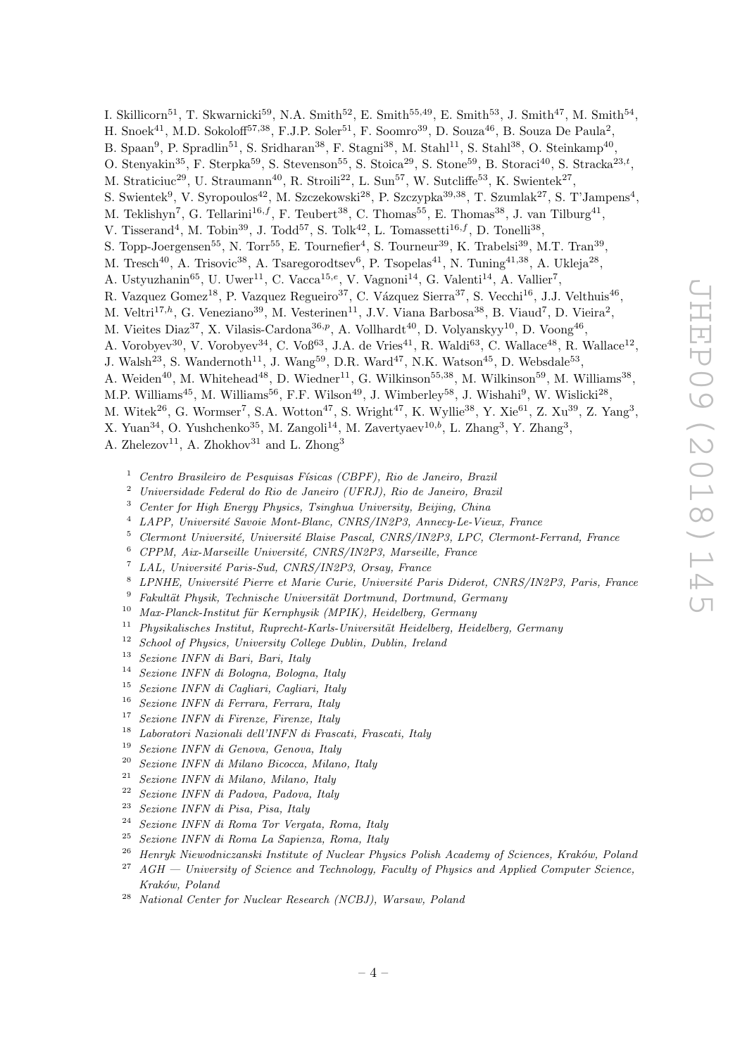I. Skillicorn<sup>51</sup>, T. Skwarnicki<sup>59</sup>, N.A. Smith<sup>52</sup>, E. Smith<sup>55,49</sup>, E. Smith<sup>53</sup>, J. Smith<sup>47</sup>, M. Smith<sup>54</sup>,

- H. Snoek<sup>41</sup>, M.D. Sokoloff<sup>57,38</sup>, F.J.P. Soler<sup>51</sup>, F. Soomro<sup>39</sup>, D. Souza<sup>46</sup>, B. Souza De Paula<sup>2</sup>,
- B. Spaan<sup>9</sup>, P. Spradlin<sup>51</sup>, S. Sridharan<sup>38</sup>, F. Stagni<sup>38</sup>, M. Stahl<sup>11</sup>, S. Stahl<sup>38</sup>, O. Steinkamp<sup>40</sup>,
- O. Stenyakin<sup>35</sup>, F. Sterpka<sup>59</sup>, S. Stevenson<sup>55</sup>, S. Stoica<sup>29</sup>, S. Stone<sup>59</sup>, B. Storaci<sup>40</sup>, S. Stracka<sup>23,t</sup>,
- M. Straticiuc<sup>29</sup>, U. Straumann<sup>40</sup>, R. Stroili<sup>22</sup>, L. Sun<sup>57</sup>, W. Sutcliffe<sup>53</sup>, K. Swientek<sup>27</sup>,
- S. Swientek<sup>9</sup>, V. Syropoulos<sup>42</sup>, M. Szczekowski<sup>28</sup>, P. Szczypka<sup>39,38</sup>, T. Szumlak<sup>27</sup>, S. T'Jampens<sup>4</sup>,
- M. Teklishyn<sup>7</sup>, G. Tellarini<sup>16,f</sup>, F. Teubert<sup>38</sup>, C. Thomas<sup>55</sup>, E. Thomas<sup>38</sup>, J. van Tilburg<sup>41</sup>,
- V. Tisserand<sup>4</sup>, M. Tobin<sup>39</sup>, J. Todd<sup>57</sup>, S. Tolk<sup>42</sup>, L. Tomassetti<sup>16,f</sup>, D. Tonelli<sup>38</sup>,
- S. Topp-Joergensen<sup>55</sup>, N. Torr<sup>55</sup>, E. Tournefier<sup>4</sup>, S. Tourneur<sup>39</sup>, K. Trabelsi<sup>39</sup>, M.T. Tran<sup>39</sup>,
- M. Tresch<sup>40</sup>, A. Trisovic<sup>38</sup>, A. Tsaregorodtsev<sup>6</sup>, P. Tsopelas<sup>41</sup>, N. Tuning<sup>41,38</sup>, A. Ukleja<sup>28</sup>,
- A. Ustyuzhanin<sup>65</sup>, U. Uwer<sup>11</sup>, C. Vacca<sup>15,e</sup>, V. Vagnoni<sup>14</sup>, G. Valenti<sup>14</sup>, A. Vallier<sup>7</sup>,
- R. Vazquez Gomez<sup>18</sup>, P. Vazquez Regueiro<sup>37</sup>, C. Vázquez Sierra<sup>37</sup>, S. Vecchi<sup>16</sup>, J.J. Velthuis<sup>46</sup>,
- M. Veltri<sup>17,h</sup>, G. Veneziano<sup>39</sup>, M. Vesterinen<sup>11</sup>, J.V. Viana Barbosa<sup>38</sup>, B. Viaud<sup>7</sup>, D. Vieira<sup>2</sup>,
- M. Vieites Diaz<sup>37</sup>, X. Vilasis-Cardona<sup>36,p</sup>, A. Vollhardt<sup>40</sup>, D. Volyanskyy<sup>10</sup>, D. Voong<sup>46</sup>,
- A. Vorobyev<sup>30</sup>, V. Vorobyev<sup>34</sup>, C. Voß<sup>63</sup>, J.A. de Vries<sup>41</sup>, R. Waldi<sup>63</sup>, C. Wallace<sup>48</sup>, R. Wallace<sup>12</sup>,
- J. Walsh<sup>23</sup>, S. Wandernoth<sup>11</sup>, J. Wang<sup>59</sup>, D.R. Ward<sup>47</sup>, N.K. Watson<sup>45</sup>, D. Websdale<sup>53</sup>,
- A. Weiden<sup>40</sup>, M. Whitehead<sup>48</sup>, D. Wiedner<sup>11</sup>, G. Wilkinson<sup>55,38</sup>, M. Wilkinson<sup>59</sup>, M. Williams<sup>38</sup>,
- M.P. Williams<sup>45</sup>, M. Williams<sup>56</sup>, F.F. Wilson<sup>49</sup>, J. Wimberley<sup>58</sup>, J. Wishahi<sup>9</sup>, W. Wislicki<sup>28</sup>,
- M. Witek<sup>26</sup>, G. Wormser<sup>7</sup>, S.A. Wotton<sup>47</sup>, S. Wright<sup>47</sup>, K. Wyllie<sup>38</sup>, Y. Xie<sup>61</sup>, Z. Xu<sup>39</sup>, Z. Yang<sup>3</sup>,
- X. Yuan<sup>34</sup>, O. Yushchenko<sup>35</sup>, M. Zangoli<sup>14</sup>, M. Zavertyaev<sup>10,b</sup>, L. Zhang<sup>3</sup>, Y. Zhang<sup>3</sup>,

A. Zhelezov<sup>11</sup>, A. Zhokhov<sup>31</sup> and L. Zhong<sup>3</sup>

- <sup>1</sup> Centro Brasileiro de Pesquisas Físicas (CBPF), Rio de Janeiro, Brazil<br><sup>2</sup> Universidade Ecdeval de Pie de Janeiro (UEPJ), Rio de Janeiro, Brazil
- <sup>2</sup> Universidade Federal do Rio de Janeiro (UFRJ), Rio de Janeiro, Brazil
- <sup>3</sup> Center for High Energy Physics, Tsinghua University, Beijing, China
- LAPP, Université Savoie Mont-Blanc, CNRS/IN2P3, Annecy-Le-Vieux, France
- $5$  Clermont Université, Université Blaise Pascal, CNRS/IN2P3, LPC, Clermont-Ferrand, France
- $6$  CPPM, Aix-Marseille Université, CNRS/IN2P3, Marseille, France
- LAL, Université Paris-Sud, CNRS/IN2P3, Orsay, France
- LPNHE, Université Pierre et Marie Curie, Université Paris Diderot, CNRS/IN2P3, Paris, France
- $9$  Fakultät Physik, Technische Universität Dortmund, Dortmund, Germany
- $10$  Max-Planck-Institut für Kernphysik (MPIK), Heidelberg, Germany
- $11$  Physikalisches Institut, Ruprecht-Karls-Universität Heidelberg, Heidelberg, Germany
- $12$  School of Physics, University College Dublin, Dublin, Ireland
- <sup>13</sup> Sezione INFN di Bari, Bari, Italy
- <sup>14</sup> Sezione INFN di Bologna, Bologna, Italy
- <sup>15</sup> Sezione INFN di Cagliari, Cagliari, Italy
- <sup>16</sup> Sezione INFN di Ferrara, Ferrara, Italy
- <sup>17</sup> Sezione INFN di Firenze, Firenze, Italy
- <sup>18</sup> Laboratori Nazionali dell'INFN di Frascati, Frascati, Italy
- <sup>19</sup> Sezione INFN di Genova, Genova, Italy
- <sup>20</sup> Sezione INFN di Milano Bicocca, Milano, Italy
- <sup>21</sup> Sezione INFN di Milano, Milano, Italy
- <sup>22</sup> Sezione INFN di Padova, Padova, Italy
- <sup>23</sup> Sezione INFN di Pisa, Pisa, Italy<br><sup>24</sup> Serieure INFN di Perus Ten Venez
- Sezione INFN di Roma Tor Vergata, Roma, Italy
- <sup>25</sup> Sezione INFN di Roma La Sapienza, Roma, Italy
- <sup>26</sup> Henryk Niewodniczanski Institute of Nuclear Physics Polish Academy of Sciences, Kraków, Poland  $27$  AGH  $-$  University of Science and Technology, Faculty of Physics and Applied Computer Science,
- Kraków, Poland
- <sup>28</sup> National Center for Nuclear Research (NCBJ), Warsaw, Poland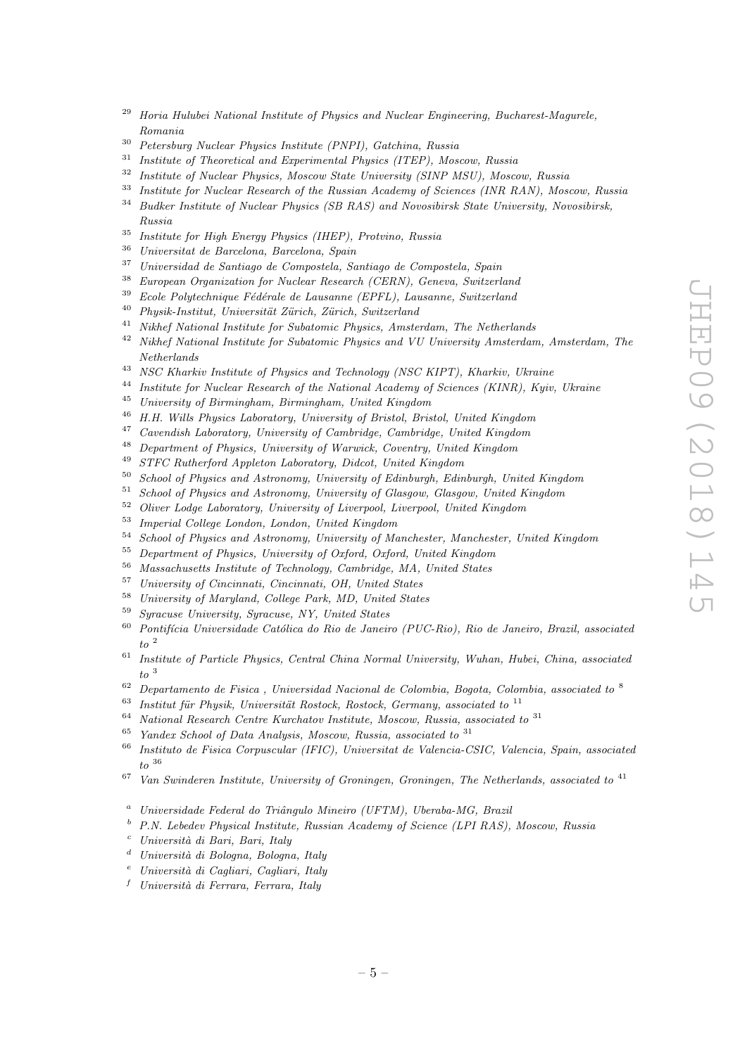- <sup>29</sup> Horia Hulubei National Institute of Physics and Nuclear Engineering, Bucharest-Magurele, Romania
- <sup>30</sup> Petersburg Nuclear Physics Institute (PNPI), Gatchina, Russia<br><sup>31</sup> Institute of Theoretical and Experimental Physics (ITEP) Mos
- Institute of Theoretical and Experimental Physics (ITEP), Moscow, Russia
- <sup>32</sup> Institute of Nuclear Physics, Moscow State University (SINP MSU), Moscow, Russia
- <sup>33</sup> Institute for Nuclear Research of the Russian Academy of Sciences (INR RAN), Moscow, Russia<br><sup>34</sup> Pudler Institute of Nuclear Physics (SP RAS) and Neusclipph State University Neusclipph
- <sup>34</sup> Budker Institute of Nuclear Physics (SB RAS) and Novosibirsk State University, Novosibirsk, Russia
- <sup>35</sup> Institute for High Energy Physics (IHEP), Protvino, Russia
- <sup>36</sup> Universitat de Barcelona, Barcelona, Spain
- $37$  Universidad de Santiago de Compostela, Santiago de Compostela, Spain<br> $38$  European Operainstian for Nuclear Becessal (CEBN), Canava Suitearl
- <sup>38</sup> European Organization for Nuclear Research (CERN), Geneva, Switzerland
- $39$  Ecole Polytechnique Fédérale de Lausanne (EPFL), Lausanne, Switzerland
- $^{40}$  Physik-Institut, Universität Zürich, Zürich, Switzerland
- <sup>41</sup> Nikhef National Institute for Subatomic Physics, Amsterdam, The Netherlands
- <sup>42</sup> Nikhef National Institute for Subatomic Physics and VU University Amsterdam, Amsterdam, The Netherlands
- <sup>43</sup> NSC Kharkiv Institute of Physics and Technology (NSC KIPT), Kharkiv, Ukraine<br><sup>44</sup> Institute for Newless Peacemah of the National Academy of Sciences (KINR), Kaive
- <sup>44</sup> Institute for Nuclear Research of the National Academy of Sciences (KINR), Kyiv, Ukraine
- <sup>45</sup> University of Birmingham, Birmingham, United Kingdom
- <sup>46</sup> H.H. Wills Physics Laboratory, University of Bristol, Bristol, United Kingdom
- <sup>47</sup> Cavendish Laboratory, University of Cambridge, Cambridge, United Kingdom
- <sup>48</sup> Department of Physics, University of Warwick, Coventry, United Kingdom
- <sup>49</sup> STFC Rutherford Appleton Laboratory, Didcot, United Kingdom<br> $^{50}$  School of Physics and Actronomy, University of Edinburgh Edin
- <sup>50</sup> School of Physics and Astronomy, University of Edinburgh, Edinburgh, United Kingdom
- <sup>51</sup> School of Physics and Astronomy, University of Glasgow, Glasgow, United Kingdom
- <sup>52</sup> Oliver Lodge Laboratory, University of Liverpool, Liverpool, United Kingdom
- <sup>53</sup> Imperial College London, London, United Kingdom
- <sup>54</sup> School of Physics and Astronomy, University of Manchester, Manchester, United Kingdom
- <sup>55</sup> Department of Physics, University of Oxford, Oxford, United Kingdom
- <sup>56</sup> Massachusetts Institute of Technology, Cambridge, MA, United States
- $^{57}$  University of Cincinnati, Cincinnati, OH, United States  $^{58}$ , University of Manulumber Cillers Dark MD, United States
- $^{58}$  University of Maryland, College Park, MD, United States<br> $^{59}$  Sympauge University, Sympauge NV, United States
- <sup>59</sup> Syracuse University, Syracuse, NY, United States
- $60$  Pontifícia Universidade Católica do Rio de Janeiro (PUC-Rio), Rio de Janeiro, Brazil, associated  $to$   $\frac{2}{3}$
- $61$  Institute of Particle Physics, Central China Normal University, Wuhan, Hubei, China, associated to <sup>3</sup>
- $62$  Departamento de Fisica, Universidad Nacional de Colombia, Bogota, Colombia, associated to  $8$
- $63$  Institut für Physik, Universität Rostock, Rostock, Germany, associated to  $11$
- $64$  National Research Centre Kurchatov Institute, Moscow, Russia, associated to  $31$
- $65$  Yandex School of Data Analysis, Moscow, Russia, associated to  $31$
- <sup>66</sup> Instituto de Fisica Corpuscular (IFIC), Universitat de Valencia-CSIC, Valencia, Spain, associated  $to$  36
- $67$  Van Swinderen Institute, University of Groningen, Groningen, The Netherlands, associated to  $^{41}$
- Universidade Federal do Triângulo Mineiro (UFTM), Uberaba-MG, Brazil
- <sup>b</sup> P.N. Lebedev Physical Institute, Russian Academy of Science (LPI RAS), Moscow, Russia
- $c$  Università di Bari, Bari, Italy
- Università di Bologna, Bologna, Italy
- $e$  Università di Cagliari, Cagliari, Italy
- $f$  Università di Ferrara, Ferrara, Italy